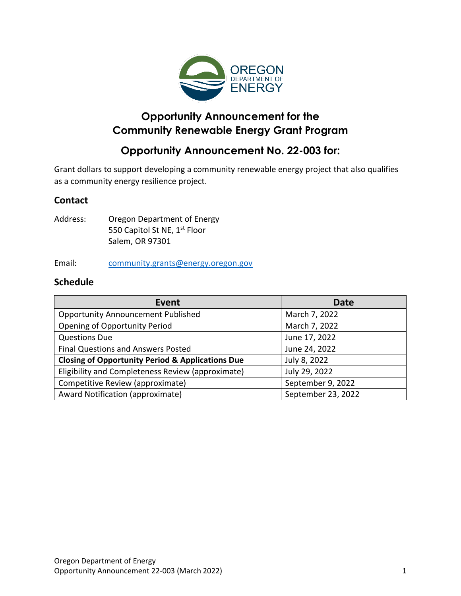

# **Opportunity Announcement for the Community Renewable Energy Grant Program**

# **Opportunity Announcement No. 22-003 for:**

Grant dollars to support developing a community renewable energy project that also qualifies as a community energy resilience project.

# **Contact**

Address: Oregon Department of Energy 550 Capitol St NE, 1<sup>st</sup> Floor Salem, OR 97301

#### Email: [community.grants@energy.oregon.gov](mailto:community.grants@energy.oregon.gov)

### **Schedule**

| <b>Event</b>                                                | <b>Date</b>        |
|-------------------------------------------------------------|--------------------|
| <b>Opportunity Announcement Published</b>                   | March 7, 2022      |
| <b>Opening of Opportunity Period</b>                        | March 7, 2022      |
| <b>Questions Due</b>                                        | June 17, 2022      |
| Final Questions and Answers Posted                          | June 24, 2022      |
| <b>Closing of Opportunity Period &amp; Applications Due</b> | July 8, 2022       |
| Eligibility and Completeness Review (approximate)           | July 29, 2022      |
| Competitive Review (approximate)                            | September 9, 2022  |
| Award Notification (approximate)                            | September 23, 2022 |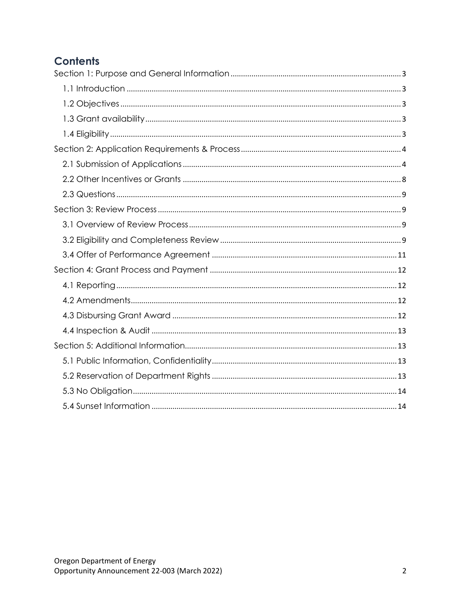# **Contents**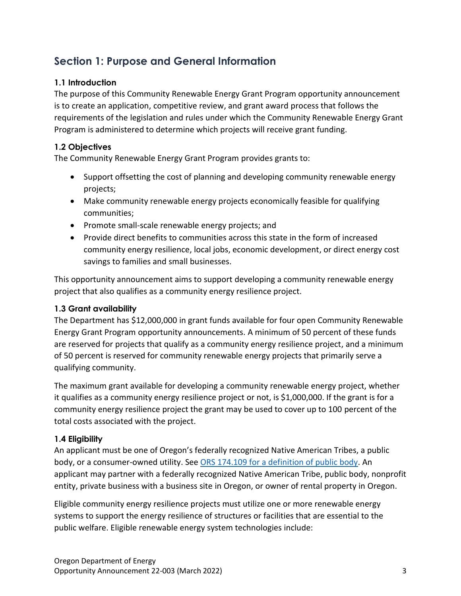# <span id="page-2-0"></span>**Section 1: Purpose and General Information**

### <span id="page-2-1"></span>**1.1 Introduction**

The purpose of this Community Renewable Energy Grant Program opportunity announcement is to create an application, competitive review, and grant award process that follows the requirements of the legislation and rules under which the Community Renewable Energy Grant Program is administered to determine which projects will receive grant funding.

### <span id="page-2-2"></span>**1.2 Objectives**

The Community Renewable Energy Grant Program provides grants to:

- Support offsetting the cost of planning and developing community renewable energy projects;
- Make community renewable energy projects economically feasible for qualifying communities;
- Promote small-scale renewable energy projects; and
- Provide direct benefits to communities across this state in the form of increased community energy resilience, local jobs, economic development, or direct energy cost savings to families and small businesses.

This opportunity announcement aims to support developing a community renewable energy project that also qualifies as a community energy resilience project.

#### <span id="page-2-3"></span>**1.3 Grant availability**

The Department has \$12,000,000 in grant funds available for four open Community Renewable Energy Grant Program opportunity announcements. A minimum of 50 percent of these funds are reserved for projects that qualify as a community energy resilience project, and a minimum of 50 percent is reserved for community renewable energy projects that primarily serve a qualifying community.

The maximum grant available for developing a community renewable energy project, whether it qualifies as a community energy resilience project or not, is \$1,000,000. If the grant is for a community energy resilience project the grant may be used to cover up to 100 percent of the total costs associated with the project.

#### <span id="page-2-4"></span>**1.4 Eligibility**

An applicant must be one of Oregon's federally recognized Native American Tribes, a public body, or a consumer-owned utility. See ORS 174.109 for [a definition of public body.](https://www.oregonlegislature.gov/bills_laws/ors/ors174.html#:~:text=174.109%20%E2%80%9CPublic%20body%E2%80%9D%20defined.%20Subject%20to%20ORS%20174.108%2C%20as%20used%20in%20the%20statutes%20of%20this%20state%20%E2%80%9Cpublic%20body%E2%80%9D%20means%20state%20government%20bodies%2C%20local%20government%20bodies%20and%20special%20government%20bodies.%20%5B2001%20c.74%20%C2%A72%5D) An applicant may partner with a federally recognized Native American Tribe, public body, nonprofit entity, private business with a business site in Oregon, or owner of rental property in Oregon.

Eligible community energy resilience projects must utilize one or more renewable energy systems to support the energy resilience of structures or facilities that are essential to the public welfare. Eligible renewable energy system technologies include: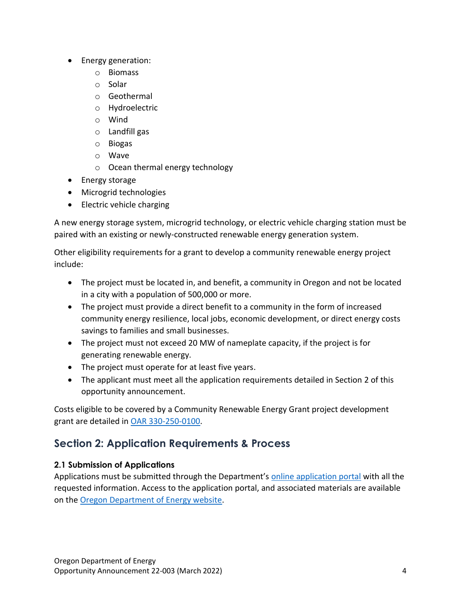- Energy generation:
	- o Biomass
	- o Solar
	- o Geothermal
	- o Hydroelectric
	- o Wind
	- o Landfill gas
	- o Biogas
	- o Wave
	- o Ocean thermal energy technology
- Energy storage
- Microgrid technologies
- Electric vehicle charging

A new energy storage system, microgrid technology, or electric vehicle charging station must be paired with an existing or newly-constructed renewable energy generation system.

Other eligibility requirements for a grant to develop a community renewable energy project include:

- The project must be located in, and benefit, a community in Oregon and not be located in a city with a population of 500,000 or more.
- The project must provide a direct benefit to a community in the form of increased community energy resilience, local jobs, economic development, or direct energy costs savings to families and small businesses.
- The project must not exceed 20 MW of nameplate capacity, if the project is for generating renewable energy.
- The project must operate for at least five years.
- The applicant must meet all the application requirements detailed in Section 2 of this opportunity announcement.

Costs eligible to be covered by a Community Renewable Energy Grant project development grant are detailed in [OAR 330-250-0100.](https://secure.sos.state.or.us/oard/viewSingleRule.action?ruleVrsnRsn=286912)

# <span id="page-3-0"></span>**Section 2: Application Requirements & Process**

# <span id="page-3-1"></span>**2.1 Submission of Applications**

Applications must be submitted through the Department's [online application portal](https://odoe.powerappsportals.us/en-US/crephome) with all the requested information. Access to the application portal, and associated materials are available on the [Oregon Department of Energy website.](https://www.oregon.gov/energy/Incentives/Pages/CREP.aspx)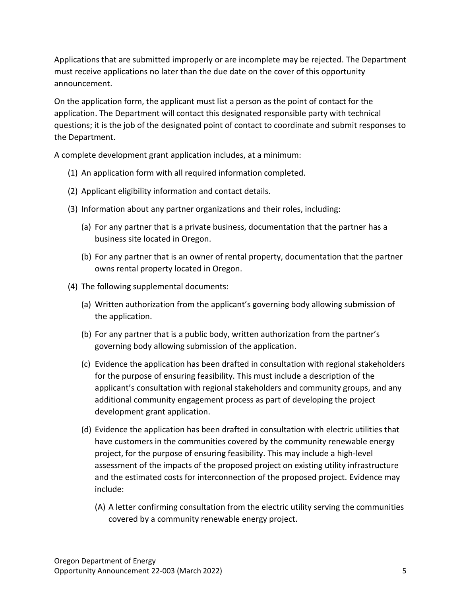Applications that are submitted improperly or are incomplete may be rejected. The Department must receive applications no later than the due date on the cover of this opportunity announcement.

On the application form, the applicant must list a person as the point of contact for the application. The Department will contact this designated responsible party with technical questions; it is the job of the designated point of contact to coordinate and submit responses to the Department.

A complete development grant application includes, at a minimum:

- (1) An application form with all required information completed.
- (2) Applicant eligibility information and contact details.
- (3) Information about any partner organizations and their roles, including:
	- (a) For any partner that is a private business, documentation that the partner has a business site located in Oregon.
	- (b) For any partner that is an owner of rental property, documentation that the partner owns rental property located in Oregon.
- (4) The following supplemental documents:
	- (a) Written authorization from the applicant's governing body allowing submission of the application.
	- (b) For any partner that is a public body, written authorization from the partner's governing body allowing submission of the application.
	- (c) Evidence the application has been drafted in consultation with regional stakeholders for the purpose of ensuring feasibility. This must include a description of the applicant's consultation with regional stakeholders and community groups, and any additional community engagement process as part of developing the project development grant application.
	- (d) Evidence the application has been drafted in consultation with electric utilities that have customers in the communities covered by the community renewable energy project, for the purpose of ensuring feasibility. This may include a high-level assessment of the impacts of the proposed project on existing utility infrastructure and the estimated costs for interconnection of the proposed project. Evidence may include:
		- (A) A letter confirming consultation from the electric utility serving the communities covered by a community renewable energy project.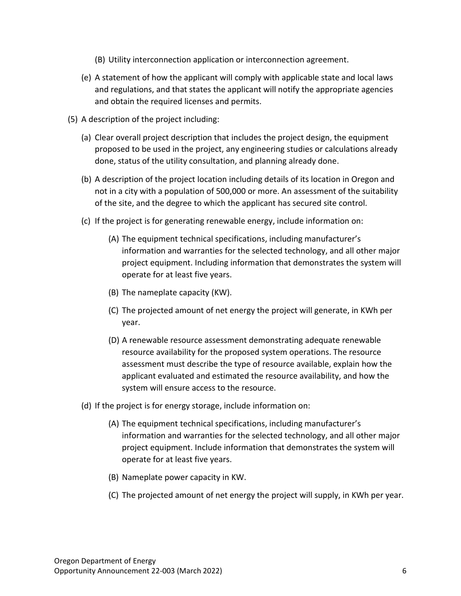- (B) Utility interconnection application or interconnection agreement.
- (e) A statement of how the applicant will comply with applicable state and local laws and regulations, and that states the applicant will notify the appropriate agencies and obtain the required licenses and permits.
- (5) A description of the project including:
	- (a) Clear overall project description that includes the project design, the equipment proposed to be used in the project, any engineering studies or calculations already done, status of the utility consultation, and planning already done.
	- (b) A description of the project location including details of its location in Oregon and not in a city with a population of 500,000 or more. An assessment of the suitability of the site, and the degree to which the applicant has secured site control.
	- (c) If the project is for generating renewable energy, include information on:
		- (A) The equipment technical specifications, including manufacturer's information and warranties for the selected technology, and all other major project equipment. Including information that demonstrates the system will operate for at least five years.
		- (B) The nameplate capacity (KW).
		- (C) The projected amount of net energy the project will generate, in KWh per year.
		- (D) A renewable resource assessment demonstrating adequate renewable resource availability for the proposed system operations. The resource assessment must describe the type of resource available, explain how the applicant evaluated and estimated the resource availability, and how the system will ensure access to the resource.
	- (d) If the project is for energy storage, include information on:
		- (A) The equipment technical specifications, including manufacturer's information and warranties for the selected technology, and all other major project equipment. Include information that demonstrates the system will operate for at least five years.
		- (B) Nameplate power capacity in KW.
		- (C) The projected amount of net energy the project will supply, in KWh per year.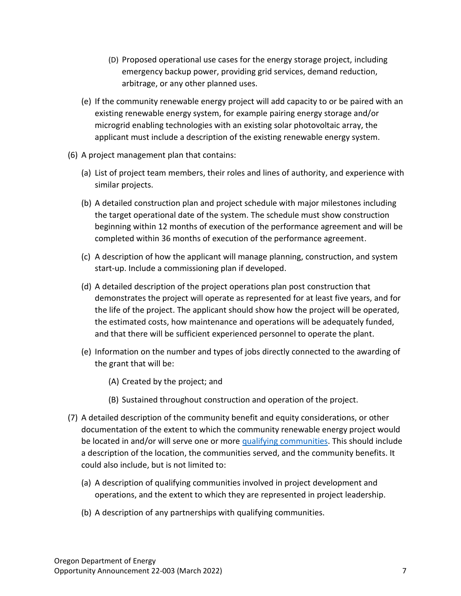- (D) Proposed operational use cases for the energy storage project, including emergency backup power, providing grid services, demand reduction, arbitrage, or any other planned uses.
- (e) If the community renewable energy project will add capacity to or be paired with an existing renewable energy system, for example pairing energy storage and/or microgrid enabling technologies with an existing solar photovoltaic array, the applicant must include a description of the existing renewable energy system.
- (6) A project management plan that contains:
	- (a) List of project team members, their roles and lines of authority, and experience with similar projects.
	- (b) A detailed construction plan and project schedule with major milestones including the target operational date of the system. The schedule must show construction beginning within 12 months of execution of the performance agreement and will be completed within 36 months of execution of the performance agreement.
	- (c) A description of how the applicant will manage planning, construction, and system start-up. Include a commissioning plan if developed.
	- (d) A detailed description of the project operations plan post construction that demonstrates the project will operate as represented for at least five years, and for the life of the project. The applicant should show how the project will be operated, the estimated costs, how maintenance and operations will be adequately funded, and that there will be sufficient experienced personnel to operate the plant.
	- (e) Information on the number and types of jobs directly connected to the awarding of the grant that will be:
		- (A) Created by the project; and
		- (B) Sustained throughout construction and operation of the project.
- (7) A detailed description of the community benefit and equity considerations, or other documentation of the extent to which the community renewable energy project would be located in and/or will serve one or more [qualifying communities.](https://www.oregonlegislature.gov/bills_laws/ors/ors470.html#:~:text=(9)%20%E2%80%9CQualifying%20community%E2%80%9D%20means%20a%20community%20that%20qualifies%20as%20an%20environmental%20justice%20community%20as%20defined%20in%20section%201%20of%20this%202021%20Act%20%5B469A.400%5D.) This should include a description of the location, the communities served, and the community benefits. It could also include, but is not limited to:
	- (a) A description of qualifying communities involved in project development and operations, and the extent to which they are represented in project leadership.
	- (b) A description of any partnerships with qualifying communities.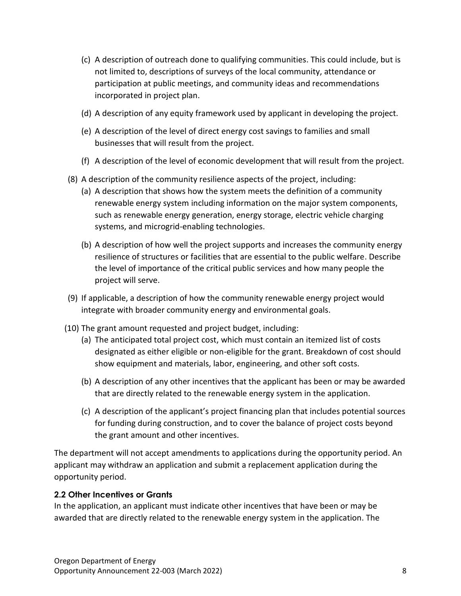- (c) A description of outreach done to qualifying communities. This could include, but is not limited to, descriptions of surveys of the local community, attendance or participation at public meetings, and community ideas and recommendations incorporated in project plan.
- (d) A description of any equity framework used by applicant in developing the project.
- (e) A description of the level of direct energy cost savings to families and small businesses that will result from the project.
- (f) A description of the level of economic development that will result from the project.
- (8) A description of the community resilience aspects of the project, including:
	- (a) A description that shows how the system meets the definition of a community renewable energy system including information on the major system components, such as renewable energy generation, energy storage, electric vehicle charging systems, and microgrid-enabling technologies.
	- (b) A description of how well the project supports and increases the community energy resilience of structures or facilities that are essential to the public welfare. Describe the level of importance of the critical public services and how many people the project will serve.
- (9) If applicable, a description of how the community renewable energy project would integrate with broader community energy and environmental goals.
- (10) The grant amount requested and project budget, including:
	- (a) The anticipated total project cost, which must contain an itemized list of costs designated as either eligible or non-eligible for the grant. Breakdown of cost should show equipment and materials, labor, engineering, and other soft costs.
	- (b) A description of any other incentives that the applicant has been or may be awarded that are directly related to the renewable energy system in the application.
	- (c) A description of the applicant's project financing plan that includes potential sources for funding during construction, and to cover the balance of project costs beyond the grant amount and other incentives.

The department will not accept amendments to applications during the opportunity period. An applicant may withdraw an application and submit a replacement application during the opportunity period.

#### <span id="page-7-0"></span>**2.2 Other Incentives or Grants**

In the application, an applicant must indicate other incentives that have been or may be awarded that are directly related to the renewable energy system in the application. The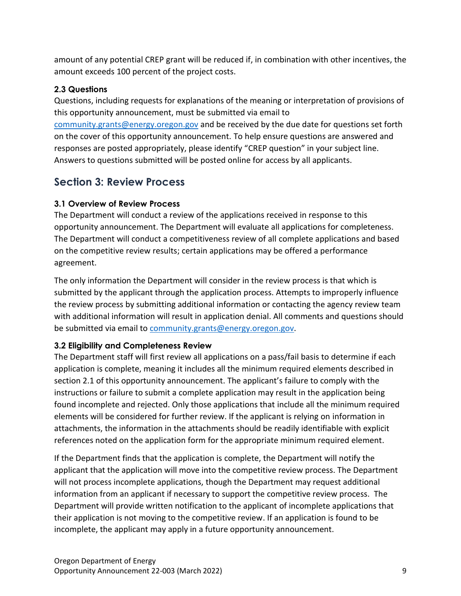amount of any potential CREP grant will be reduced if, in combination with other incentives, the amount exceeds 100 percent of the project costs.

### <span id="page-8-0"></span>**2.3 Questions**

Questions, including requests for explanations of the meaning or interpretation of provisions of this opportunity announcement, must be submitted via email to [community.grants@energy.oregon.gov](mailto:community.grants@energy.oregon.gov) and be received by the due date for questions set forth on the cover of this opportunity announcement. To help ensure questions are answered and responses are posted appropriately, please identify "CREP question" in your subject line. Answers to questions submitted will be posted online for access by all applicants.

# <span id="page-8-1"></span>**Section 3: Review Process**

## <span id="page-8-2"></span>**3.1 Overview of Review Process**

The Department will conduct a review of the applications received in response to this opportunity announcement. The Department will evaluate all applications for completeness. The Department will conduct a competitiveness review of all complete applications and based on the competitive review results; certain applications may be offered a performance agreement.

The only information the Department will consider in the review process is that which is submitted by the applicant through the application process. Attempts to improperly influence the review process by submitting additional information or contacting the agency review team with additional information will result in application denial. All comments and questions should be submitted via email to [community.grants@energy.oregon.gov.](mailto:community.grants@energy.oregon.gov)

# <span id="page-8-3"></span>**3.2 Eligibility and Completeness Review**

The Department staff will first review all applications on a pass/fail basis to determine if each application is complete, meaning it includes all the minimum required elements described in section 2.1 of this opportunity announcement. The applicant's failure to comply with the instructions or failure to submit a complete application may result in the application being found incomplete and rejected. Only those applications that include all the minimum required elements will be considered for further review. If the applicant is relying on information in attachments, the information in the attachments should be readily identifiable with explicit references noted on the application form for the appropriate minimum required element.

If the Department finds that the application is complete, the Department will notify the applicant that the application will move into the competitive review process. The Department will not process incomplete applications, though the Department may request additional information from an applicant if necessary to support the competitive review process. The Department will provide written notification to the applicant of incomplete applications that their application is not moving to the competitive review. If an application is found to be incomplete, the applicant may apply in a future opportunity announcement.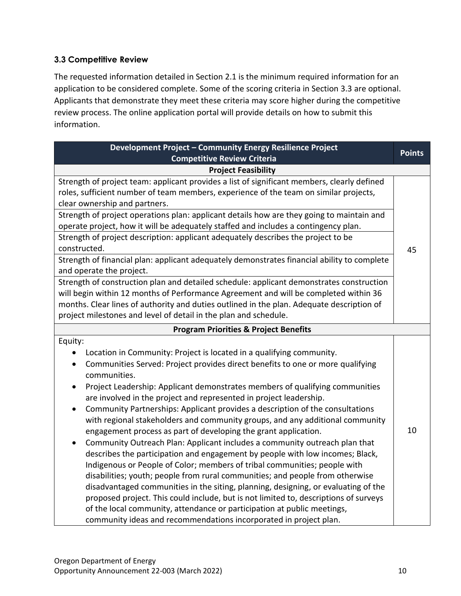#### **3.3 Competitive Review**

The requested information detailed in Section 2.1 is the minimum required information for an application to be considered complete. Some of the scoring criteria in Section 3.3 are optional. Applicants that demonstrate they meet these criteria may score higher during the competitive review process. The online application portal will provide details on how to submit this information.

| Development Project - Community Energy Resilience Project<br><b>Competitive Review Criteria</b>                                                                                                                                                                                                                                                                                                                                                                                                                                                                                                                                                                                                                                                                                                                                                                                                                                                                                                                                                                                                                                                                                                                                                      | <b>Points</b> |  |
|------------------------------------------------------------------------------------------------------------------------------------------------------------------------------------------------------------------------------------------------------------------------------------------------------------------------------------------------------------------------------------------------------------------------------------------------------------------------------------------------------------------------------------------------------------------------------------------------------------------------------------------------------------------------------------------------------------------------------------------------------------------------------------------------------------------------------------------------------------------------------------------------------------------------------------------------------------------------------------------------------------------------------------------------------------------------------------------------------------------------------------------------------------------------------------------------------------------------------------------------------|---------------|--|
| <b>Project Feasibility</b>                                                                                                                                                                                                                                                                                                                                                                                                                                                                                                                                                                                                                                                                                                                                                                                                                                                                                                                                                                                                                                                                                                                                                                                                                           |               |  |
| Strength of project team: applicant provides a list of significant members, clearly defined<br>roles, sufficient number of team members, experience of the team on similar projects,<br>clear ownership and partners.<br>Strength of project operations plan: applicant details how are they going to maintain and<br>operate project, how it will be adequately staffed and includes a contingency plan.<br>Strength of project description: applicant adequately describes the project to be<br>constructed.<br>Strength of financial plan: applicant adequately demonstrates financial ability to complete<br>and operate the project.                                                                                                                                                                                                                                                                                                                                                                                                                                                                                                                                                                                                            |               |  |
| Strength of construction plan and detailed schedule: applicant demonstrates construction<br>will begin within 12 months of Performance Agreement and will be completed within 36<br>months. Clear lines of authority and duties outlined in the plan. Adequate description of<br>project milestones and level of detail in the plan and schedule.                                                                                                                                                                                                                                                                                                                                                                                                                                                                                                                                                                                                                                                                                                                                                                                                                                                                                                    |               |  |
| <b>Program Priorities &amp; Project Benefits</b>                                                                                                                                                                                                                                                                                                                                                                                                                                                                                                                                                                                                                                                                                                                                                                                                                                                                                                                                                                                                                                                                                                                                                                                                     |               |  |
| Equity:<br>Location in Community: Project is located in a qualifying community.<br>Communities Served: Project provides direct benefits to one or more qualifying<br>communities.<br>Project Leadership: Applicant demonstrates members of qualifying communities<br>$\bullet$<br>are involved in the project and represented in project leadership.<br>Community Partnerships: Applicant provides a description of the consultations<br>with regional stakeholders and community groups, and any additional community<br>engagement process as part of developing the grant application.<br>Community Outreach Plan: Applicant includes a community outreach plan that<br>describes the participation and engagement by people with low incomes; Black,<br>Indigenous or People of Color; members of tribal communities; people with<br>disabilities; youth; people from rural communities; and people from otherwise<br>disadvantaged communities in the siting, planning, designing, or evaluating of the<br>proposed project. This could include, but is not limited to, descriptions of surveys<br>of the local community, attendance or participation at public meetings,<br>community ideas and recommendations incorporated in project plan. | 10            |  |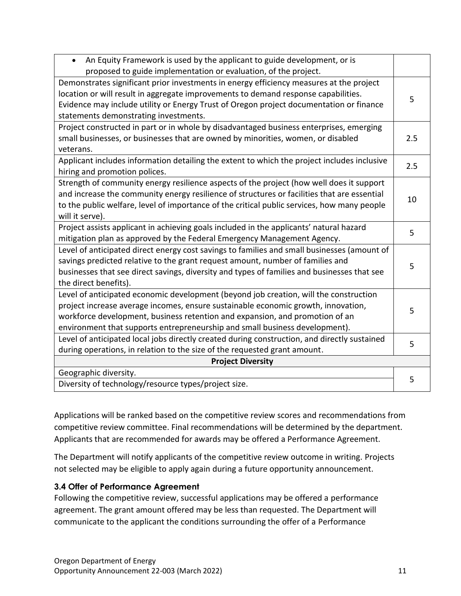| An Equity Framework is used by the applicant to guide development, or is<br>$\bullet$<br>proposed to guide implementation or evaluation, of the project.                                                                                                                                                                                  |     |  |
|-------------------------------------------------------------------------------------------------------------------------------------------------------------------------------------------------------------------------------------------------------------------------------------------------------------------------------------------|-----|--|
| Demonstrates significant prior investments in energy efficiency measures at the project<br>location or will result in aggregate improvements to demand response capabilities.<br>Evidence may include utility or Energy Trust of Oregon project documentation or finance<br>statements demonstrating investments.                         | 5   |  |
| Project constructed in part or in whole by disadvantaged business enterprises, emerging<br>small businesses, or businesses that are owned by minorities, women, or disabled<br>veterans.                                                                                                                                                  | 2.5 |  |
| Applicant includes information detailing the extent to which the project includes inclusive<br>hiring and promotion polices.                                                                                                                                                                                                              | 2.5 |  |
| Strength of community energy resilience aspects of the project (how well does it support<br>and increase the community energy resilience of structures or facilities that are essential<br>to the public welfare, level of importance of the critical public services, how many people<br>will it serve).                                 | 10  |  |
| Project assists applicant in achieving goals included in the applicants' natural hazard<br>mitigation plan as approved by the Federal Emergency Management Agency.                                                                                                                                                                        | 5   |  |
| Level of anticipated direct energy cost savings to families and small businesses (amount of<br>savings predicted relative to the grant request amount, number of families and<br>businesses that see direct savings, diversity and types of families and businesses that see<br>the direct benefits).                                     | 5   |  |
| Level of anticipated economic development (beyond job creation, will the construction<br>project increase average incomes, ensure sustainable economic growth, innovation,<br>workforce development, business retention and expansion, and promotion of an<br>environment that supports entrepreneurship and small business development). | 5   |  |
| Level of anticipated local jobs directly created during construction, and directly sustained<br>during operations, in relation to the size of the requested grant amount.                                                                                                                                                                 | 5   |  |
| <b>Project Diversity</b>                                                                                                                                                                                                                                                                                                                  |     |  |
| Geographic diversity.<br>Diversity of technology/resource types/project size.                                                                                                                                                                                                                                                             | 5   |  |

Applications will be ranked based on the competitive review scores and recommendations from competitive review committee. Final recommendations will be determined by the department. Applicants that are recommended for awards may be offered a Performance Agreement.

The Department will notify applicants of the competitive review outcome in writing. Projects not selected may be eligible to apply again during a future opportunity announcement.

#### <span id="page-10-0"></span>**3.4 Offer of Performance Agreement**

Following the competitive review, successful applications may be offered a performance agreement. The grant amount offered may be less than requested. The Department will communicate to the applicant the conditions surrounding the offer of a Performance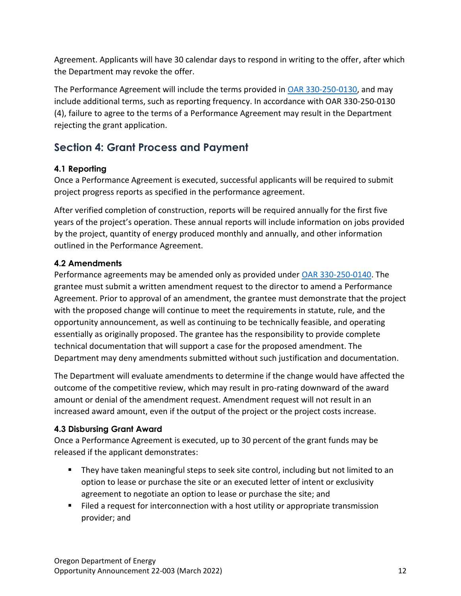Agreement. Applicants will have 30 calendar days to respond in writing to the offer, after which the Department may revoke the offer.

The Performance Agreement will include the terms provided in [OAR 330-250-0130,](https://secure.sos.state.or.us/oard/viewSingleRule.action?ruleVrsnRsn=286915) and may include additional terms, such as reporting frequency. In accordance with OAR 330-250-0130 (4), failure to agree to the terms of a Performance Agreement may result in the Department rejecting the grant application.

# <span id="page-11-0"></span>**Section 4: Grant Process and Payment**

# <span id="page-11-1"></span>**4.1 Reporting**

Once a Performance Agreement is executed, successful applicants will be required to submit project progress reports as specified in the performance agreement.

After verified completion of construction, reports will be required annually for the first five years of the project's operation. These annual reports will include information on jobs provided by the project, quantity of energy produced monthly and annually, and other information outlined in the Performance Agreement.

## <span id="page-11-2"></span>**4.2 Amendments**

Performance agreements may be amended only as provided under [OAR 330-250-0140.](https://secure.sos.state.or.us/oard/viewSingleRule.action?ruleVrsnRsn=286916) The grantee must submit a written amendment request to the director to amend a Performance Agreement. Prior to approval of an amendment, the grantee must demonstrate that the project with the proposed change will continue to meet the requirements in statute, rule, and the opportunity announcement, as well as continuing to be technically feasible, and operating essentially as originally proposed. The grantee has the responsibility to provide complete technical documentation that will support a case for the proposed amendment. The Department may deny amendments submitted without such justification and documentation.

The Department will evaluate amendments to determine if the change would have affected the outcome of the competitive review, which may result in pro-rating downward of the award amount or denial of the amendment request. Amendment request will not result in an increased award amount, even if the output of the project or the project costs increase.

### <span id="page-11-3"></span>**4.3 Disbursing Grant Award**

Once a Performance Agreement is executed, up to 30 percent of the grant funds may be released if the applicant demonstrates:

- They have taken meaningful steps to seek site control, including but not limited to an option to lease or purchase the site or an executed letter of intent or exclusivity agreement to negotiate an option to lease or purchase the site; and
- Filed a request for interconnection with a host utility or appropriate transmission provider; and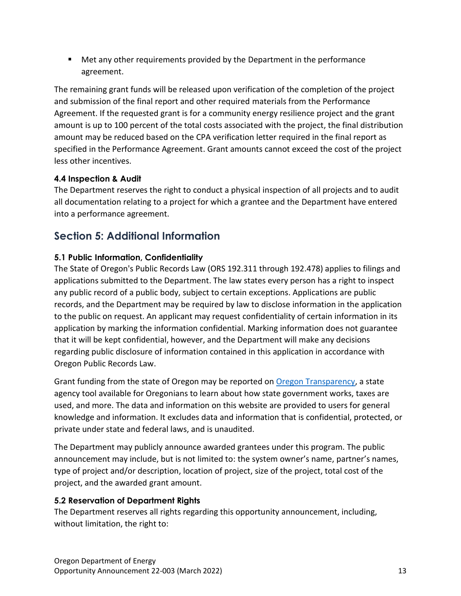■ Met any other requirements provided by the Department in the performance agreement.

The remaining grant funds will be released upon verification of the completion of the project and submission of the final report and other required materials from the Performance Agreement. If the requested grant is for a community energy resilience project and the grant amount is up to 100 percent of the total costs associated with the project, the final distribution amount may be reduced based on the CPA verification letter required in the final report as specified in the Performance Agreement. Grant amounts cannot exceed the cost of the project less other incentives.

### <span id="page-12-0"></span>**4.4 Inspection & Audit**

The Department reserves the right to conduct a physical inspection of all projects and to audit all documentation relating to a project for which a grantee and the Department have entered into a performance agreement.

# <span id="page-12-1"></span>**Section 5: Additional Information**

## <span id="page-12-2"></span>**5.1 Public Information, Confidentiality**

The State of Oregon's Public Records Law (ORS 192.311 through 192.478) applies to filings and applications submitted to the Department. The law states every person has a right to inspect any public record of a public body, subject to certain exceptions. Applications are public records, and the Department may be required by law to disclose information in the application to the public on request. An applicant may request confidentiality of certain information in its application by marking the information confidential. Marking information does not guarantee that it will be kept confidential, however, and the Department will make any decisions regarding public disclosure of information contained in this application in accordance with Oregon Public Records Law.

Grant funding from the state of Oregon may be reported on [Oregon Transparency,](https://www.oregon.gov/transparency/pages/index.aspx) a state agency tool available for Oregonians to learn about how state government works, taxes are used, and more. The data and information on this website are provided to users for general knowledge and information. It excludes data and information that is confidential, protected, or private under state and federal laws, and is unaudited.

The Department may publicly announce awarded grantees under this program. The public announcement may include, but is not limited to: the system owner's name, partner's names, type of project and/or description, location of project, size of the project, total cost of the project, and the awarded grant amount.

# <span id="page-12-3"></span>**5.2 Reservation of Department Rights**

The Department reserves all rights regarding this opportunity announcement, including, without limitation, the right to: